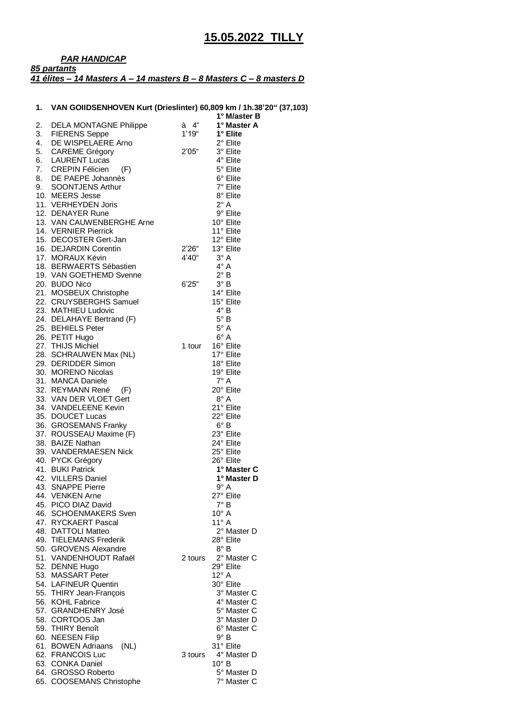## *PAR HANDICAP 85 partants 41 élites – 14 Masters A – 14 masters B – 8 Masters C – 8 masters D*

## **1. VAN GOIIDSENHOVEN Kurt (Drieslinter) 60,809 km / 1h.38'20" (37,103)**

|    |                                                   | . ,     | 1° M/aster B               |
|----|---------------------------------------------------|---------|----------------------------|
| 2. | DELA MONTAGNE Philippe                            | à 4"    | 1° Master A                |
| 3. | <b>FIERENS Seppe</b>                              | 1'19''  | 1° Elite                   |
| 4. | DE WISPELAERE Arno                                |         | 2° Elite                   |
| 5. | <b>CAREME Grégory</b>                             | 2'05"   | 3° Elite                   |
| 6. | <b>LAURENT Lucas</b>                              |         | 4° Elite                   |
| 7. | <b>CREPIN Félicien</b><br>(F)                     |         | 5° Elite                   |
|    | 8. DE PAEPE Johannès                              |         | 6° Elite                   |
| 9. | <b>SOONTJENS Arthur</b>                           |         | 7° Elite                   |
|    | 10. MEERS Jesse                                   |         | 8° Elite                   |
|    | 11. VERHEYDEN Joris                               |         | $2^{\circ}$ A              |
|    | 12. DENAYER Rune                                  |         | 9° Elite<br>10° Elite      |
|    | 13. VAN CAUWENBERGHE Arne<br>14. VERNIER Pierrick |         | 11° Elite                  |
|    | 15. DECOSTER Gert-Jan                             |         | 12° Elite                  |
|    | 16. DEJARDIN Corentin                             | 2'26"   | 13° Elite                  |
|    | 17. MORAUX Kévin                                  | 4'40"   | $3^\circ A$                |
|    | 18. BERWAERTS Sébastien                           |         | $4^\circ A$                |
|    | 19. VAN GOETHEMD Svenne                           |         | $2^{\circ}$ B              |
|    | 20. BUDO Nico                                     | 6'25''  | $3^\circ B$                |
|    | 21. MOSBEUX Christophe                            |         | 14° Elite                  |
|    | 22. CRUYSBERGHS Samuel                            |         | 15° Elite                  |
|    | 23. MATHIEU Ludovic                               |         | $4^\circ$ B                |
|    | 24. DELAHAYE Bertrand (F)                         |         | $5^\circ$ B                |
|    | 25. BEHIELS Peter                                 |         | $5^\circ$ A                |
|    | 26. PETIT Hugo                                    |         | $6^\circ A$                |
|    | 27. THIJS Michiel                                 | 1 tour  | 16° Elite                  |
|    | 28. SCHRAUWEN Max (NL)                            |         | 17° Elite                  |
|    | 29. DERIDDER Simon                                |         | 18° Elite                  |
|    | 30. MORENO Nicolas                                |         | 19° Elite                  |
|    | 31. MANCA Daniele                                 |         | $7^\circ$ A                |
|    | 32. REYMANN René<br>(F)                           |         | 20° Elite                  |
|    | 33. VAN DER VLOET Gert                            |         | $8^\circ A$                |
|    | 34. VANDELEENE Kevin                              |         | 21° Elite                  |
|    | 35. DOUCET Lucas<br>36. GROSEMANS Franky          |         | 22° Elite<br>$6^{\circ}$ B |
|    | 37. ROUSSEAU Maxime (F)                           |         | 23° Elite                  |
|    | 38. BAIZE Nathan                                  |         | 24° Elite                  |
|    | 39. VANDERMAESEN Nick                             |         | 25° Elite                  |
|    | 40. PYCK Grégory                                  |         | 26° Elite                  |
|    | 41. BUKI Patrick                                  |         | 1° Master C                |
|    | 42. VILLERS Daniel                                |         | 1° Master D                |
|    | 43. SNAPPE Pierre                                 |         | $9^\circ A$                |
|    | 44. VENKEN Arne                                   |         | 27° Elite                  |
|    | 45. PICO DIAZ David                               |         | $7^\circ$ B                |
|    | 46. SCHOENMAKERS Sven                             |         | $10^{\circ}$ A             |
|    | 47. RYCKAERT Pascal                               |         | $11^{\circ}$ A             |
|    | 48. DATTOLI Matteo                                |         | 2° Master D                |
|    | 49. TIELEMANS Frederik                            |         | 28° Elite                  |
|    | 50. GROVENS Alexandre<br>51. VANDENHOUDT Rafaël   |         | $8^{\circ}$ B              |
|    |                                                   | 2 tours | 2° Master C<br>29° Elite   |
|    | 52. DENNE Hugo<br>53. MASSART Peter               |         | 12° A                      |
|    | 54. LAFINEUR Quentin                              |         | 30° Elite                  |
|    | 55. THIRY Jean-François                           |         | 3° Master C                |
|    | 56. KOHL Fabrice                                  |         | 4° Master C                |
|    | 57. GRANDHENRY José                               |         | 5° Master C                |
|    | 58. CORTOOS Jan                                   |         | 3° Master D                |
|    | 59. THIRY Benoît                                  |         | 6° Master C                |
|    | 60. NEESEN Filip                                  |         | 9° B                       |
|    | 61. BOWEN Adriaans<br>(NL)                        |         | 31° Elite                  |
|    | 62. FRANCOIS Luc                                  | 3 tours | 4° Master D                |
|    | 63. CONKA Daniel                                  |         | $10^{\circ}$ B             |
|    | 64. GROSSO Roberto                                |         | 5° Master D                |
|    | 65. COOSEMANS Christophe                          |         | 7° Master C                |